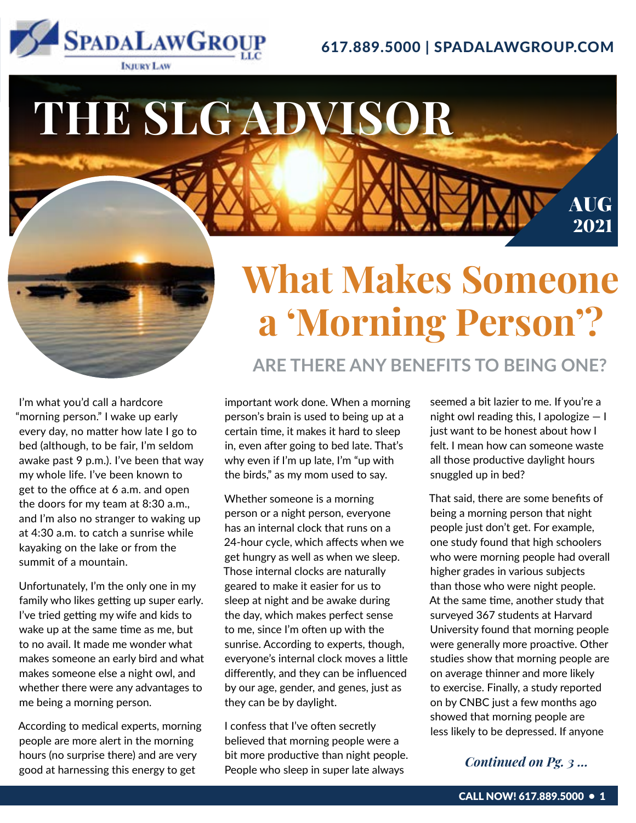

### 617.889.5000 | SPADALAWGROUP.COM

# **THE SLG ADVISOR** AUG 2021

I'm what you'd call a hardcore "morning person." I wake up early every day, no matter how late I go to bed (although, to be fair, I'm seldom awake past 9 p.m.). I've been that way my whole life. I've been known to get to the office at 6 a.m. and open the doors for my team at 8:30 a.m., and I'm also no stranger to waking up at 4:30 a.m. to catch a sunrise while kayaking on the lake or from the summit of a mountain.

Unfortunately, I'm the only one in my family who likes getting up super early. I've tried getting my wife and kids to wake up at the same time as me, but to no avail. It made me wonder what makes someone an early bird and what makes someone else a night owl, and whether there were any advantages to me being a morning person.

According to medical experts, morning people are more alert in the morning hours (no surprise there) and are very good at harnessing this energy to get

## **What Makes Someone a 'Morning Person'?**

**ARE THERE ANY BENEFITS TO BEING ONE?**

important work done. When a morning person's brain is used to being up at a certain time, it makes it hard to sleep in, even after going to bed late. That's

Whether someone is a morning person or a night person, everyone has an internal clock that runs on a 24-hour cycle, which affects when we get hungry as well as when we sleep. Those internal clocks are naturally geared to make it easier for us to sleep at night and be awake during the day, which makes perfect sense to me, since I'm often up with the sunrise. According to experts, though, everyone's internal clock moves a little differently, and they can be influenced by our age, gender, and genes, just as they can be by daylight.

why even if I'm up late, I'm "up with the birds," as my mom used to say.

I confess that I've often secretly believed that morning people were a bit more productive than night people. People who sleep in super late always

seemed a bit lazier to me. If you're a night owl reading this, I apologize  $-1$ just want to be honest about how I felt. I mean how can someone waste all those productive daylight hours snuggled up in bed?

That said, there are some benefits of being a morning person that night people just don't get. For example, one study found that high schoolers who were morning people had overall higher grades in various subjects than those who were night people. At the same time, another study that surveyed 367 students at Harvard University found that morning people were generally more proactive. Other studies show that morning people are on average thinner and more likely to exercise. Finally, a study reported on by CNBC just a few months ago showed that morning people are less likely to be depressed. If anyone

### *Continued on Pg. 3 ...*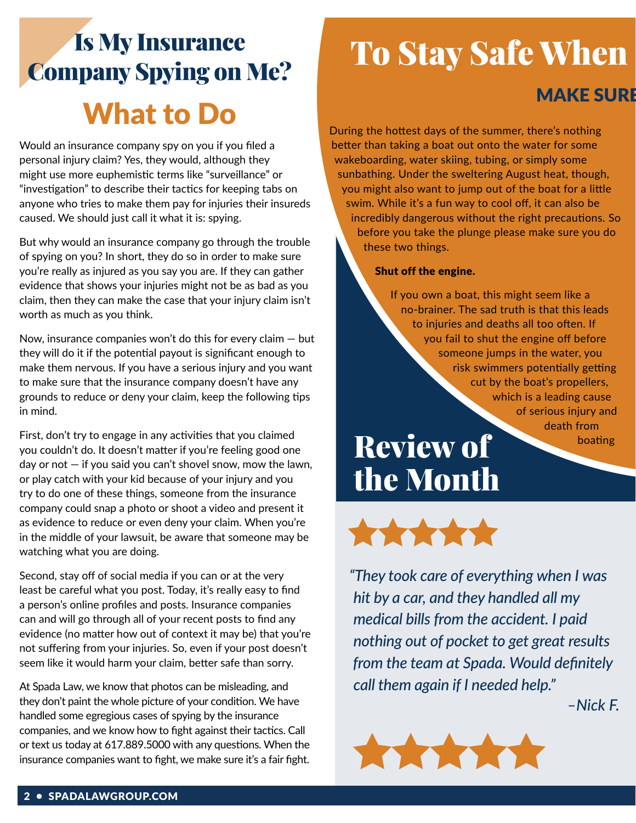## Is My Insurance Company Spying on Me? What to Do

Would an insurance company spy on you if you filed a personal injury claim? Yes, they would, although they might use more euphemistic terms like "surveillance" or "investigation" to describe their tactics for keeping tabs on anyone who tries to make them pay for injuries their insureds caused. We should just call it what it is: spying.

But why would an insurance company go through the trouble of spying on you? In short, they do so in order to make sure you're really as injured as you say you are. If they can gather evidence that shows your injuries might not be as bad as you claim, then they can make the case that your injury claim isn't worth as much as you think.

Now, insurance companies won't do this for every claim  $-$  but they will do it if the potential payout is significant enough to make them nervous. If you have a serious injury and you want to make sure that the insurance company doesn't have any grounds to reduce or deny your claim, keep the following tips in mind.

First, don't try to engage in any activities that you claimed you couldn't do. It doesn't matter if you're feeling good one day or not  $-$  if you said you can't shovel snow, mow the lawn, or play catch with your kid because of your injury and you try to do one of these things, someone from the insurance company could snap a photo or shoot a video and present it as evidence to reduce or even deny your claim. When you're in the middle of your lawsuit, be aware that someone may be watching what you are doing.

Second, stay off of social media if you can or at the very least be careful what you post. Today, it's really easy to find a person's online profiles and posts. Insurance companies can and will go through all of your recent posts to find any evidence (no matter how out of context it may be) that you're not suffering from your injuries. So, even if your post doesn't seem like it would harm your claim, better safe than sorry.

At Spada Law, we know that photos can be misleading, and they don't paint the whole picture of your condition. We have handled some egregious cases of spying by the insurance companies, and we know how to fight against their tactics. Call or text us today at 617.889.5000 with any questions. When the insurance companies want to fight, we make sure it's a fair fight.

## **To Stay Safe When**

### **MAKE SURE**

During the hottest days of the summer, there's nothing better than taking a boat out onto the water for some wakeboarding, water skiing, tubing, or simply some sunbathing. Under the sweltering August heat, though, you might also want to jump out of the boat for a little swim. While it's a fun way to cool off, it can also be incredibly dangerous without the right precautions. So before you take the plunge please make sure you do these two things.

#### Shut off the engine.

If you own a boat, this might seem like a no-brainer. The sad truth is that this leads to injuries and deaths all too often. If you fail to shut the engine off before someone jumps in the water, you risk swimmers potentially getting cut by the boat's propellers, which is a leading cause of serious injury and death from boating

## Review of the Month



*"They took care of everything when I was hit by a car, and they handled all my medical bills from the accident. I paid nothing out of pocket to get great results from the team at Spada. Would definitely call them again if I needed help."*



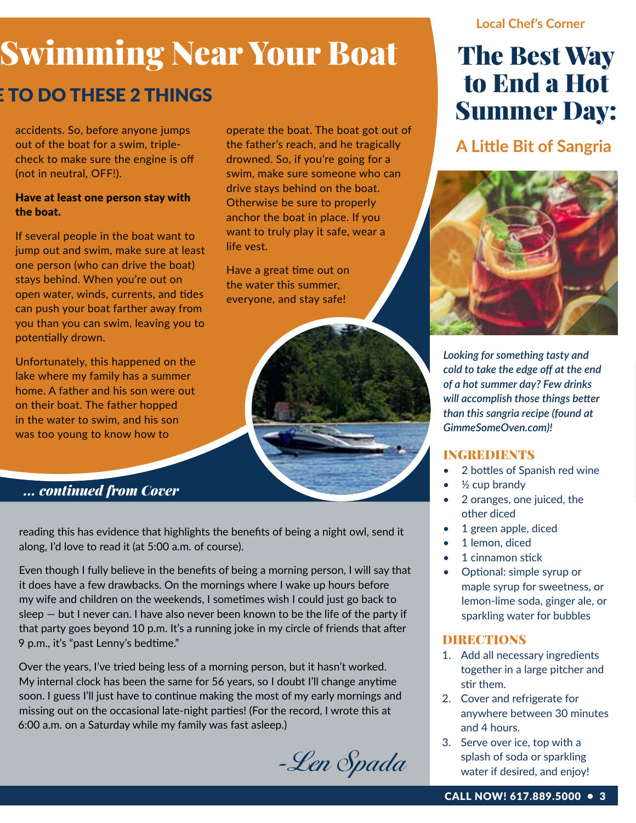### **Local Chef's Corner**

# **Swimming Near Your Boat**

life vest.

Have a great time out on the water this summer, everyone, and stay safe!

operate the boat. The boat got out of the father's reach, and he tragically drowned. So, if you're going for a swim, make sure someone who can drive stays behind on the boat. Otherwise be sure to properly anchor the boat in place. If you want to truly play it safe, wear a

### **TO DO THESE 2 THINGS**

accidents. So, before anyone jumps out of the boat for a swim, triplecheck to make sure the engine is off (not in neutral, OFF!).

#### Have at least one person stay with the boat.

If several people in the boat want to jump out and swim, make sure at least one person (who can drive the boat) stays behind. When you're out on open water, winds, currents, and tides can push your boat farther away from you than you can swim, leaving you to potentially drown.

Unfortunately, this happened on the lake where my family has a summer home. A father and his son were out on their boat. The father hopped in the water to swim, and his son was too young to know how to

### *... continued from Cover*

reading this has evidence that highlights the benefits of being a night owl, send it along, I'd love to read it (at 5:00 a.m. of course).

Even though I fully believe in the benefits of being a morning person, I will say that it does have a few drawbacks. On the mornings where I wake up hours before my wife and children on the weekends, I sometimes wish I could just go back to sleep — but I never can. I have also never been known to be the life of the party if that party goes beyond 10 p.m. It's a running joke in my circle of friends that after 9 p.m., it's "past Lenny's bedtime."

Over the years, I've tried being less of a morning person, but it hasn't worked. My internal clock has been the same for 56 years, so I doubt I'll change anytime soon. I guess I'll just have to continue making the most of my early mornings and missing out on the occasional late-night parties! (For the record, I wrote this at 6:00 a.m. on a Saturday while my family was fast asleep.)

-Len Spada

### The Best Way to End a Hot Summer Day:

**A Little Bit of Sangria**



*Looking for something tasty and cold to take the edge off at the end of a hot summer day? Few drinks will accomplish those things better than this sangria recipe (found at GimmeSomeOven.com)!*

### **INGREDIENTS**

- 2 bottles of Spanish red wine
- $\frac{1}{2}$  cup brandy
- 2 oranges, one juiced, the other diced
- 1 green apple, diced
- 1 lemon, diced
- 1 cinnamon stick
- Optional: simple syrup or maple syrup for sweetness, or lemon-lime soda, ginger ale, or sparkling water for bubbles

### DIRECTIONS

- 1. Add all necessary ingredients together in a large pitcher and stir them.
- 2. Cover and refrigerate for anywhere between 30 minutes and 4 hours.
- 3. Serve over ice, top with a splash of soda or sparkling water if desired, and enjoy!